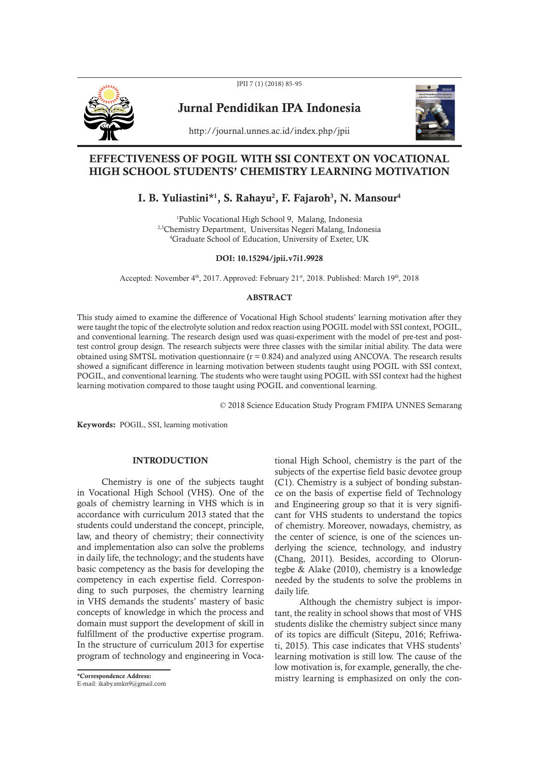JPII 7 (1) (2018) 85-95



Jurnal Pendidikan IPA Indonesia



http://journal.unnes.ac.id/index.php/jpii

# EFFECTIVENESS OF POGIL WITH SSI CONTEXT ON VOCATIONAL HIGH SCHOOL STUDENTS' CHEMISTRY LEARNING MOTIVATION

# I. B. Yuliastini\*<sup>1</sup>, S. Rahayu<sup>2</sup>, F. Fajaroh<sup>3</sup>, N. Mansour<sup>4</sup>

<sup>1</sup>Public Vocational High School 9, Malang, Indonesia 2,3Chemistry Department, Universitas Negeri Malang, Indonesia <sup>4</sup>Graduate School of Education, University of Exeter, UK

## DOI: 10.15294/jpii.v7i1.9928

Accepted: November 4<sup>th</sup>, 2017. Approved: February 21<sup>st</sup>, 2018. Published: March 19<sup>th</sup>, 2018

## ABSTRACT

This study aimed to examine the difference of Vocational High School students' learning motivation after they were taught the topic of the electrolyte solution and redox reaction using POGIL model with SSI context, POGIL, and conventional learning. The research design used was quasi-experiment with the model of pre-test and posttest control group design. The research subjects were three classes with the similar initial ability. The data were obtained using SMTSL motivation questionnaire  $(r = 0.824)$  and analyzed using ANCOVA. The research results showed a significant difference in learning motivation between students taught using POGIL with SSI context, POGIL, and conventional learning. The students who were taught using POGIL with SSI context had the highest learning motivation compared to those taught using POGIL and conventional learning.

© 2018 Science Education Study Program FMIPA UNNES Semarang

Keywords: POGIL, SSI, learning motivation

# INTRODUCTION

Chemistry is one of the subjects taught in Vocational High School (VHS). One of the goals of chemistry learning in VHS which is in accordance with curriculum 2013 stated that the students could understand the concept, principle, law, and theory of chemistry; their connectivity and implementation also can solve the problems in daily life, the technology; and the students have basic competency as the basis for developing the competency in each expertise field. Corresponding to such purposes, the chemistry learning in VHS demands the students' mastery of basic concepts of knowledge in which the process and domain must support the development of skill in fulfillment of the productive expertise program. In the structure of curriculum 2013 for expertise program of technology and engineering in Voca-

\*Correspondence Address: E-mail: ikaby.smkn9@gmail.com tional High School, chemistry is the part of the subjects of the expertise field basic devotee group (C1). Chemistry is a subject of bonding substance on the basis of expertise field of Technology and Engineering group so that it is very significant for VHS students to understand the topics of chemistry. Moreover, nowadays, chemistry, as the center of science, is one of the sciences underlying the science, technology, and industry (Chang, 2011). Besides, according to Oloruntegbe & Alake (2010), chemistry is a knowledge needed by the students to solve the problems in daily life.

Although the chemistry subject is important, the reality in school shows that most of VHS students dislike the chemistry subject since many of its topics are difficult (Sitepu, 2016; Refriwati, 2015). This case indicates that VHS students' learning motivation is still low. The cause of the low motivation is, for example, generally, the chemistry learning is emphasized on only the con-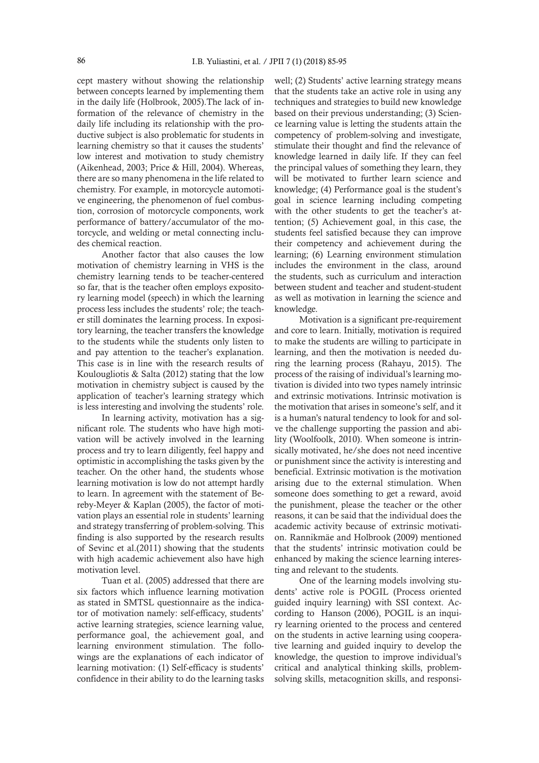cept mastery without showing the relationship between concepts learned by implementing them in the daily life (Holbrook, 2005).The lack of information of the relevance of chemistry in the daily life including its relationship with the productive subject is also problematic for students in learning chemistry so that it causes the students' low interest and motivation to study chemistry (Aikenhead, 2003; Price & Hill, 2004). Whereas, there are so many phenomena in the life related to chemistry. For example, in motorcycle automotive engineering, the phenomenon of fuel combustion, corrosion of motorcycle components, work performance of battery/accumulator of the motorcycle, and welding or metal connecting includes chemical reaction.

Another factor that also causes the low motivation of chemistry learning in VHS is the chemistry learning tends to be teacher-centered so far, that is the teacher often employs expository learning model (speech) in which the learning process less includes the students' role; the teacher still dominates the learning process. In expository learning, the teacher transfers the knowledge to the students while the students only listen to and pay attention to the teacher's explanation. This case is in line with the research results of Koulougliotis & Salta (2012) stating that the low motivation in chemistry subject is caused by the application of teacher's learning strategy which is less interesting and involving the students' role.

In learning activity, motivation has a significant role. The students who have high motivation will be actively involved in the learning process and try to learn diligently, feel happy and optimistic in accomplishing the tasks given by the teacher. On the other hand, the students whose learning motivation is low do not attempt hardly to learn. In agreement with the statement of Bereby-Meyer & Kaplan (2005), the factor of motivation plays an essential role in students' learning and strategy transferring of problem-solving. This finding is also supported by the research results of Sevinc et al.(2011) showing that the students with high academic achievement also have high motivation level.

Tuan et al. (2005) addressed that there are six factors which influence learning motivation as stated in SMTSL questionnaire as the indicator of motivation namely: self-efficacy, students' active learning strategies, science learning value, performance goal, the achievement goal, and learning environment stimulation. The followings are the explanations of each indicator of learning motivation: (1) Self-efficacy is students' confidence in their ability to do the learning tasks well; (2) Students' active learning strategy means that the students take an active role in using any techniques and strategies to build new knowledge based on their previous understanding; (3) Science learning value is letting the students attain the competency of problem-solving and investigate, stimulate their thought and find the relevance of knowledge learned in daily life. If they can feel the principal values of something they learn, they will be motivated to further learn science and knowledge; (4) Performance goal is the student's goal in science learning including competing with the other students to get the teacher's attention; (5) Achievement goal, in this case, the students feel satisfied because they can improve their competency and achievement during the learning; (6) Learning environment stimulation includes the environment in the class, around the students, such as curriculum and interaction between student and teacher and student-student as well as motivation in learning the science and knowledge.

Motivation is a significant pre-requirement and core to learn. Initially, motivation is required to make the students are willing to participate in learning, and then the motivation is needed during the learning process (Rahayu, 2015). The process of the raising of individual's learning motivation is divided into two types namely intrinsic and extrinsic motivations. Intrinsic motivation is the motivation that arises in someone's self, and it is a human's natural tendency to look for and solve the challenge supporting the passion and ability (Woolfoolk, 2010). When someone is intrinsically motivated, he/she does not need incentive or punishment since the activity is interesting and beneficial. Extrinsic motivation is the motivation arising due to the external stimulation. When someone does something to get a reward, avoid the punishment, please the teacher or the other reasons, it can be said that the individual does the academic activity because of extrinsic motivation. Rannikmäe and Holbrook (2009) mentioned that the students' intrinsic motivation could be enhanced by making the science learning interesting and relevant to the students.

One of the learning models involving students' active role is POGIL (Process oriented guided inquiry learning) with SSI context. According to Hanson (2006), POGIL is an inquiry learning oriented to the process and centered on the students in active learning using cooperative learning and guided inquiry to develop the knowledge, the question to improve individual's critical and analytical thinking skills, problemsolving skills, metacognition skills, and responsi-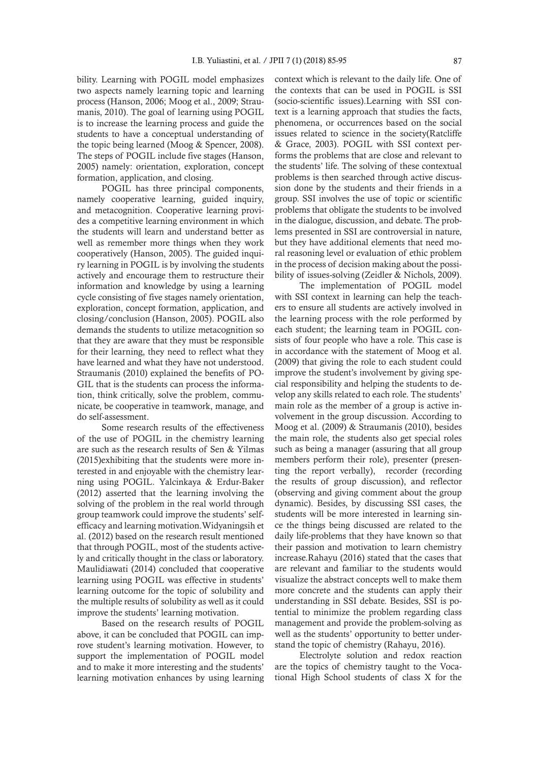bility. Learning with POGIL model emphasizes two aspects namely learning topic and learning process (Hanson, 2006; Moog et al., 2009; Straumanis, 2010). The goal of learning using POGIL is to increase the learning process and guide the students to have a conceptual understanding of the topic being learned (Moog & Spencer, 2008). The steps of POGIL include five stages (Hanson, 2005) namely: orientation, exploration, concept formation, application, and closing.

POGIL has three principal components, namely cooperative learning, guided inquiry, and metacognition. Cooperative learning provides a competitive learning environment in which the students will learn and understand better as well as remember more things when they work cooperatively (Hanson, 2005). The guided inquiry learning in POGIL is by involving the students actively and encourage them to restructure their information and knowledge by using a learning cycle consisting of five stages namely orientation, exploration, concept formation, application, and closing/conclusion (Hanson, 2005). POGIL also demands the students to utilize metacognition so that they are aware that they must be responsible for their learning, they need to reflect what they have learned and what they have not understood. Straumanis (2010) explained the benefits of PO-GIL that is the students can process the information, think critically, solve the problem, communicate, be cooperative in teamwork, manage, and do self-assessment.

Some research results of the effectiveness of the use of POGIL in the chemistry learning are such as the research results of Sen & Yilmas (2015)exhibiting that the students were more interested in and enjoyable with the chemistry learning using POGIL. Yalcinkaya & Erdur-Baker (2012) asserted that the learning involving the solving of the problem in the real world through group teamwork could improve the students' selfefficacy and learning motivation.Widyaningsih et al. (2012) based on the research result mentioned that through POGIL, most of the students actively and critically thought in the class or laboratory. Maulidiawati (2014) concluded that cooperative learning using POGIL was effective in students' learning outcome for the topic of solubility and the multiple results of solubility as well as it could improve the students' learning motivation.

Based on the research results of POGIL above, it can be concluded that POGIL can improve student's learning motivation. However, to support the implementation of POGIL model and to make it more interesting and the students' learning motivation enhances by using learning context which is relevant to the daily life. One of the contexts that can be used in POGIL is SSI (socio-scientific issues).Learning with SSI context is a learning approach that studies the facts, phenomena, or occurrences based on the social issues related to science in the society(Ratcliffe & Grace, 2003). POGIL with SSI context performs the problems that are close and relevant to the students' life. The solving of these contextual problems is then searched through active discussion done by the students and their friends in a group. SSI involves the use of topic or scientific problems that obligate the students to be involved in the dialogue, discussion, and debate. The problems presented in SSI are controversial in nature, but they have additional elements that need moral reasoning level or evaluation of ethic problem in the process of decision making about the possibility of issues-solving (Zeidler & Nichols, 2009).

The implementation of POGIL model with SSI context in learning can help the teachers to ensure all students are actively involved in the learning process with the role performed by each student; the learning team in POGIL consists of four people who have a role. This case is in accordance with the statement of Moog et al. (2009) that giving the role to each student could improve the student's involvement by giving special responsibility and helping the students to develop any skills related to each role. The students' main role as the member of a group is active involvement in the group discussion. According to Moog et al. (2009) & Straumanis (2010), besides the main role, the students also get special roles such as being a manager (assuring that all group members perform their role), presenter (presenting the report verbally), recorder (recording the results of group discussion), and reflector (observing and giving comment about the group dynamic). Besides, by discussing SSI cases, the students will be more interested in learning since the things being discussed are related to the daily life-problems that they have known so that their passion and motivation to learn chemistry increase.Rahayu (2016) stated that the cases that are relevant and familiar to the students would visualize the abstract concepts well to make them more concrete and the students can apply their understanding in SSI debate. Besides, SSI is potential to minimize the problem regarding class management and provide the problem-solving as well as the students' opportunity to better understand the topic of chemistry (Rahayu, 2016).

Electrolyte solution and redox reaction are the topics of chemistry taught to the Vocational High School students of class X for the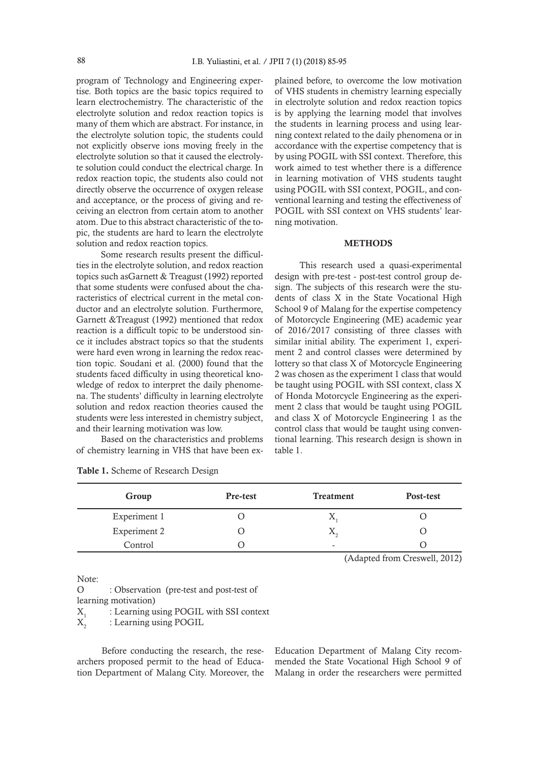program of Technology and Engineering expertise. Both topics are the basic topics required to learn electrochemistry. The characteristic of the electrolyte solution and redox reaction topics is many of them which are abstract. For instance, in the electrolyte solution topic, the students could not explicitly observe ions moving freely in the electrolyte solution so that it caused the electrolyte solution could conduct the electrical charge. In redox reaction topic, the students also could not directly observe the occurrence of oxygen release and acceptance, or the process of giving and receiving an electron from certain atom to another atom. Due to this abstract characteristic of the topic, the students are hard to learn the electrolyte solution and redox reaction topics.

Some research results present the difficulties in the electrolyte solution, and redox reaction topics such asGarnett & Treagust (1992) reported that some students were confused about the characteristics of electrical current in the metal conductor and an electrolyte solution. Furthermore, Garnett &Treagust (1992) mentioned that redox reaction is a difficult topic to be understood since it includes abstract topics so that the students were hard even wrong in learning the redox reaction topic. Soudani et al. (2000) found that the students faced difficulty in using theoretical knowledge of redox to interpret the daily phenomena. The students' difficulty in learning electrolyte solution and redox reaction theories caused the students were less interested in chemistry subject, and their learning motivation was low.

Based on the characteristics and problems of chemistry learning in VHS that have been explained before, to overcome the low motivation of VHS students in chemistry learning especially in electrolyte solution and redox reaction topics is by applying the learning model that involves the students in learning process and using learning context related to the daily phenomena or in accordance with the expertise competency that is by using POGIL with SSI context. Therefore, this work aimed to test whether there is a difference in learning motivation of VHS students taught using POGIL with SSI context, POGIL, and conventional learning and testing the effectiveness of POGIL with SSI context on VHS students' learning motivation.

### **METHODS**

This research used a quasi-experimental design with pre-test - post-test control group design. The subjects of this research were the students of class X in the State Vocational High School 9 of Malang for the expertise competency of Motorcycle Engineering (ME) academic year of 2016/2017 consisting of three classes with similar initial ability. The experiment 1, experiment 2 and control classes were determined by lottery so that class X of Motorcycle Engineering 2 was chosen as the experiment 1 class that would be taught using POGIL with SSI context, class X of Honda Motorcycle Engineering as the experiment 2 class that would be taught using POGIL and class X of Motorcycle Engineering 1 as the control class that would be taught using conventional learning. This research design is shown in table 1.

| Group        | Pre-test | <b>Treatment</b>   | Post-test |
|--------------|----------|--------------------|-----------|
| Experiment 1 |          | $\Lambda$          |           |
| Experiment 2 |          | $\Lambda_{\alpha}$ |           |
| Control      |          | -                  |           |

(Adapted from Creswell, 2012)

Note:

O : Observation (pre-test and post-test of learning motivation)  $X_1$  : Learning using POGIL with SSI context<br> $X_2$  : Learning using POGIL : Learning using POGIL

Before conducting the research, the researchers proposed permit to the head of Education Department of Malang City. Moreover, the

Education Department of Malang City recommended the State Vocational High School 9 of Malang in order the researchers were permitted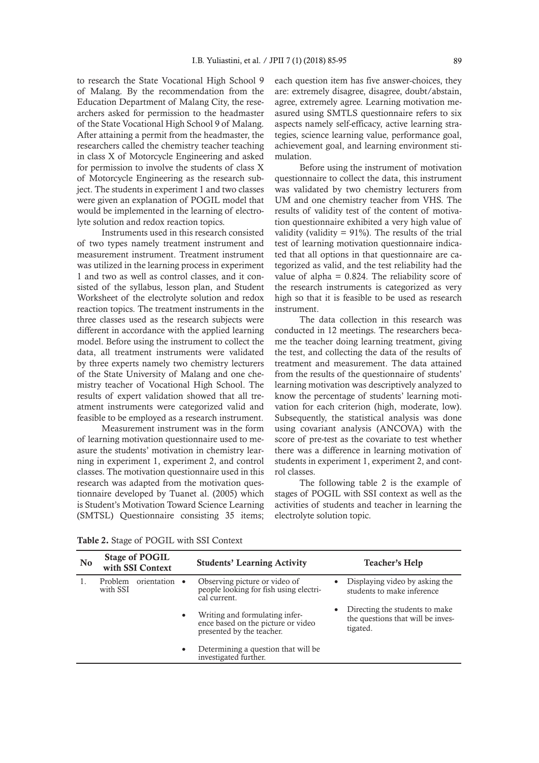to research the State Vocational High School 9 of Malang. By the recommendation from the Education Department of Malang City, the researchers asked for permission to the headmaster of the State Vocational High School 9 of Malang. After attaining a permit from the headmaster, the researchers called the chemistry teacher teaching in class X of Motorcycle Engineering and asked for permission to involve the students of class X of Motorcycle Engineering as the research subject. The students in experiment 1 and two classes were given an explanation of POGIL model that would be implemented in the learning of electrolyte solution and redox reaction topics.

Instruments used in this research consisted of two types namely treatment instrument and measurement instrument. Treatment instrument was utilized in the learning process in experiment 1 and two as well as control classes, and it consisted of the syllabus, lesson plan, and Student Worksheet of the electrolyte solution and redox reaction topics. The treatment instruments in the three classes used as the research subjects were different in accordance with the applied learning model. Before using the instrument to collect the data, all treatment instruments were validated by three experts namely two chemistry lecturers of the State University of Malang and one chemistry teacher of Vocational High School. The results of expert validation showed that all treatment instruments were categorized valid and feasible to be employed as a research instrument.

Measurement instrument was in the form of learning motivation questionnaire used to measure the students' motivation in chemistry learning in experiment 1, experiment 2, and control classes. The motivation questionnaire used in this research was adapted from the motivation questionnaire developed by Tuanet al. (2005) which is Student's Motivation Toward Science Learning (SMTSL) Questionnaire consisting 35 items;

each question item has five answer-choices, they are: extremely disagree, disagree, doubt/abstain, agree, extremely agree. Learning motivation measured using SMTLS questionnaire refers to six aspects namely self-efficacy, active learning strategies, science learning value, performance goal, achievement goal, and learning environment stimulation.

Before using the instrument of motivation questionnaire to collect the data, this instrument was validated by two chemistry lecturers from UM and one chemistry teacher from VHS. The results of validity test of the content of motivation questionnaire exhibited a very high value of validity (validity  $= 91\%$ ). The results of the trial test of learning motivation questionnaire indicated that all options in that questionnaire are categorized as valid, and the test reliability had the value of alpha  $= 0.824$ . The reliability score of the research instruments is categorized as very high so that it is feasible to be used as research instrument.

The data collection in this research was conducted in 12 meetings. The researchers became the teacher doing learning treatment, giving the test, and collecting the data of the results of treatment and measurement. The data attained from the results of the questionnaire of students' learning motivation was descriptively analyzed to know the percentage of students' learning motivation for each criterion (high, moderate, low). Subsequently, the statistical analysis was done using covariant analysis (ANCOVA) with the score of pre-test as the covariate to test whether there was a difference in learning motivation of students in experiment 1, experiment 2, and control classes.

The following table 2 is the example of stages of POGIL with SSI context as well as the activities of students and teacher in learning the electrolyte solution topic.

| N <sub>0</sub> | <b>Stage of POGIL</b><br>with SSI Context |               |           | <b>Students' Learning Activity</b>                                                                |   | Teacher's Help                                                                  |  |
|----------------|-------------------------------------------|---------------|-----------|---------------------------------------------------------------------------------------------------|---|---------------------------------------------------------------------------------|--|
|                | Problem<br>with SSI                       | orientation • |           | Observing picture or video of<br>people looking for fish using electri-<br>cal current.           | ٠ | Displaying video by asking the<br>students to make inference                    |  |
|                |                                           |               | $\bullet$ | Writing and formulating infer-<br>ence based on the picture or video<br>presented by the teacher. | ٠ | Directing the students to make<br>the questions that will be inves-<br>tigated. |  |
|                |                                           |               | $\bullet$ | Determining a question that will be<br>investigated further.                                      |   |                                                                                 |  |

Table 2. Stage of POGIL with SSI Context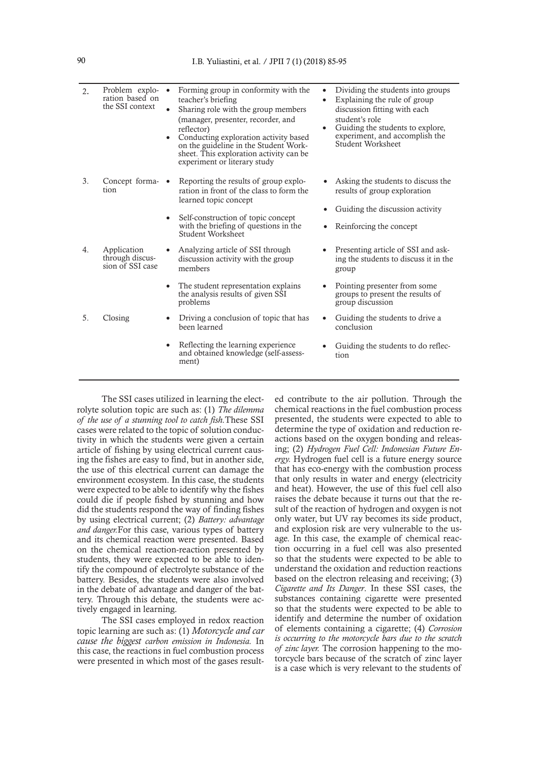| 2. | Problem explo-<br>ration based on<br>the SSI context | Forming group in conformity with the<br>teacher's briefing<br>Sharing role with the group members<br>(manager, presenter, recorder, and<br>reflector)<br>Conducting exploration activity based<br>on the guideline in the Student Work-<br>sheet. This exploration activity can be<br>experiment or literary study | $\bullet$<br>$\bullet$<br>$\bullet$ | Dividing the students into groups<br>Explaining the rule of group<br>discussion fitting with each<br>student's role<br>Guiding the students to explore,<br>experiment, and accomplish the<br>Student Worksheet |
|----|------------------------------------------------------|--------------------------------------------------------------------------------------------------------------------------------------------------------------------------------------------------------------------------------------------------------------------------------------------------------------------|-------------------------------------|----------------------------------------------------------------------------------------------------------------------------------------------------------------------------------------------------------------|
| 3. | Concept forma- $\bullet$<br>tion                     | Reporting the results of group explo-<br>ration in front of the class to form the<br>learned topic concept<br>Self-construction of topic concept<br>$\bullet$<br>with the briefing of questions in the<br>Student Worksheet                                                                                        |                                     | Asking the students to discuss the<br>results of group exploration<br>Guiding the discussion activity<br>Reinforcing the concept                                                                               |
| 4. | Application<br>through discus-<br>sion of SSI case   | Analyzing article of SSI through<br>discussion activity with the group<br>members<br>The student representation explains<br>$\bullet$<br>the analysis results of given SSI<br>problems                                                                                                                             |                                     | Presenting article of SSI and ask-<br>ing the students to discuss it in the<br>group<br>Pointing presenter from some<br>groups to present the results of<br>group discussion                                   |
| 5. | Closing                                              | Driving a conclusion of topic that has<br>٠<br>been learned                                                                                                                                                                                                                                                        |                                     | Guiding the students to drive a<br>conclusion                                                                                                                                                                  |
|    |                                                      | Reflecting the learning experience<br>$\bullet$<br>and obtained knowledge (self-assess-<br>ment)                                                                                                                                                                                                                   |                                     | Guiding the students to do reflec-<br>tion                                                                                                                                                                     |

The SSI cases utilized in learning the electrolyte solution topic are such as: (1) *The dilemma of the use of a stunning tool to catch fish.*These SSI cases were related to the topic of solution conductivity in which the students were given a certain article of fishing by using electrical current causing the fishes are easy to find, but in another side, the use of this electrical current can damage the environment ecosystem. In this case, the students were expected to be able to identify why the fishes could die if people fished by stunning and how did the students respond the way of finding fishes by using electrical current; (2) *Battery: advantage and danger.*For this case, various types of battery and its chemical reaction were presented. Based on the chemical reaction-reaction presented by students, they were expected to be able to identify the compound of electrolyte substance of the battery. Besides, the students were also involved in the debate of advantage and danger of the battery. Through this debate, the students were actively engaged in learning.

The SSI cases employed in redox reaction topic learning are such as: (1) *Motorcycle and car cause the biggest carbon emission in Indonesia.* In this case, the reactions in fuel combustion process were presented in which most of the gases resulted contribute to the air pollution. Through the chemical reactions in the fuel combustion process presented, the students were expected to able to determine the type of oxidation and reduction reactions based on the oxygen bonding and releasing; (2) *Hydrogen Fuel Cell: Indonesian Future Energy.* Hydrogen fuel cell is a future energy source that has eco-energy with the combustion process that only results in water and energy (electricity and heat). However, the use of this fuel cell also raises the debate because it turns out that the result of the reaction of hydrogen and oxygen is not only water, but UV ray becomes its side product, and explosion risk are very vulnerable to the usage. In this case, the example of chemical reaction occurring in a fuel cell was also presented so that the students were expected to be able to understand the oxidation and reduction reactions based on the electron releasing and receiving; (3) *Cigarette and Its Danger*. In these SSI cases, the substances containing cigarette were presented so that the students were expected to be able to identify and determine the number of oxidation of elements containing a cigarette; (4) *Corrosion is occurring to the motorcycle bars due to the scratch of zinc layer.* The corrosion happening to the motorcycle bars because of the scratch of zinc layer is a case which is very relevant to the students of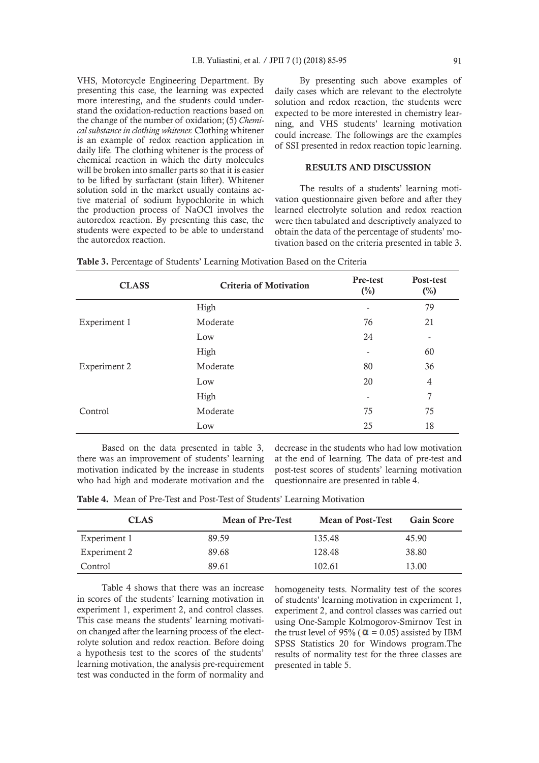VHS, Motorcycle Engineering Department. By presenting this case, the learning was expected more interesting, and the students could understand the oxidation-reduction reactions based on the change of the number of oxidation; (5) *Chemical substance in clothing whitener.* Clothing whitener is an example of redox reaction application in daily life. The clothing whitener is the process of chemical reaction in which the dirty molecules will be broken into smaller parts so that it is easier to be lifted by surfactant (stain lifter). Whitener solution sold in the market usually contains active material of sodium hypochlorite in which the production process of NaOCl involves the autoredox reaction. By presenting this case, the students were expected to be able to understand the autoredox reaction.

By presenting such above examples of daily cases which are relevant to the electrolyte solution and redox reaction, the students were expected to be more interested in chemistry learning, and VHS students' learning motivation could increase. The followings are the examples of SSI presented in redox reaction topic learning.

### RESULTS AND DISCUSSION

The results of a students' learning motivation questionnaire given before and after they learned electrolyte solution and redox reaction were then tabulated and descriptively analyzed to obtain the data of the percentage of students' motivation based on the criteria presented in table 3.

| <b>CLASS</b> | <b>Criteria of Motivation</b> | Pre-test<br>$\binom{0}{0}$ | Post-test<br>$(\%)$ |
|--------------|-------------------------------|----------------------------|---------------------|
|              | High                          | -                          | 79                  |
| Experiment 1 | Moderate                      | 76                         | 21                  |
|              | Low                           | 24                         |                     |
|              | High                          | ۰                          | 60                  |
| Experiment 2 | Moderate                      | 80                         | 36                  |
|              | Low                           | 20                         | 4                   |
|              | High                          | ۰                          | 7                   |
| Control      | Moderate                      | 75                         | 75                  |
|              | Low                           | 25                         | 18                  |

Table 3. Percentage of Students' Learning Motivation Based on the Criteria

Based on the data presented in table 3, there was an improvement of students' learning motivation indicated by the increase in students who had high and moderate motivation and the

decrease in the students who had low motivation at the end of learning. The data of pre-test and post-test scores of students' learning motivation questionnaire are presented in table 4.

Table 4. Mean of Pre-Test and Post-Test of Students' Learning Motivation

| <b>CLAS</b>  | <b>Mean of Pre-Test</b> | <b>Mean of Post-Test</b> | <b>Gain Score</b> |
|--------------|-------------------------|--------------------------|-------------------|
| Experiment 1 | 89.59                   | 135.48                   | 45.90             |
| Experiment 2 | 89.68                   | 128.48                   | 38.80             |
| Control      | 89.61                   | 102.61                   | 13.00             |

Table 4 shows that there was an increase in scores of the students' learning motivation in experiment 1, experiment 2, and control classes. This case means the students' learning motivation changed after the learning process of the electrolyte solution and redox reaction. Before doing a hypothesis test to the scores of the students' learning motivation, the analysis pre-requirement test was conducted in the form of normality and

homogeneity tests. Normality test of the scores of students' learning motivation in experiment 1, experiment 2, and control classes was carried out using One-Sample Kolmogorov-Smirnov Test in the trust level of 95% ( $\alpha$  = 0.05) assisted by IBM SPSS Statistics 20 for Windows program.The results of normality test for the three classes are presented in table 5.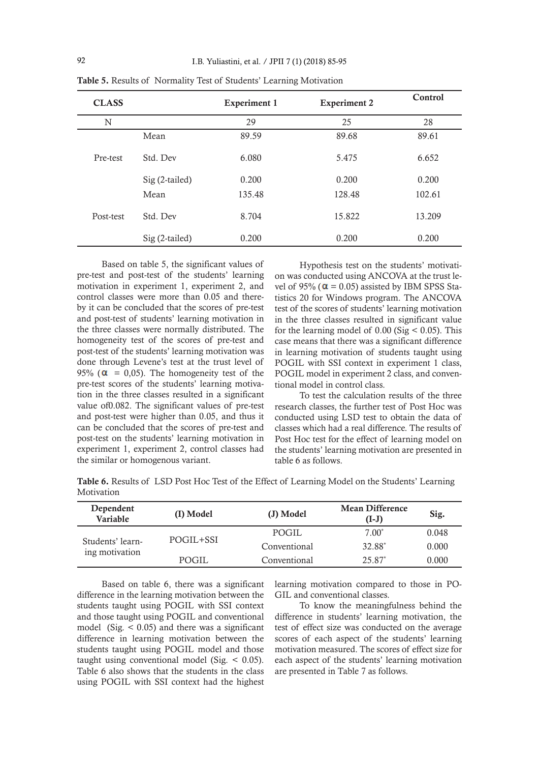| <b>CLASS</b> |                | <b>Experiment 1</b> | <b>Experiment 2</b> | Control |
|--------------|----------------|---------------------|---------------------|---------|
| N            |                | 29                  | 25                  | 28      |
|              | Mean           | 89.59               | 89.68               | 89.61   |
| Pre-test     | Std. Dev       | 6.080               | 5.475               | 6.652   |
|              | Sig (2-tailed) | 0.200               | 0.200               | 0.200   |
|              | Mean           | 135.48              | 128.48              | 102.61  |
| Post-test    | Std. Dev       | 8.704               | 15.822              | 13.209  |
|              | Sig (2-tailed) | 0.200               | 0.200               | 0.200   |

Table 5. Results of Normality Test of Students' Learning Motivation

Based on table 5, the significant values of pre-test and post-test of the students' learning motivation in experiment 1, experiment 2, and control classes were more than 0.05 and thereby it can be concluded that the scores of pre-test and post-test of students' learning motivation in the three classes were normally distributed. The homogeneity test of the scores of pre-test and post-test of the students' learning motivation was done through Levene's test at the trust level of 95% ( $\alpha$  = 0,05). The homogeneity test of the pre-test scores of the students' learning motivation in the three classes resulted in a significant value of0.082. The significant values of pre-test and post-test were higher than 0.05, and thus it can be concluded that the scores of pre-test and post-test on the students' learning motivation in experiment 1, experiment 2, control classes had the similar or homogenous variant.

Hypothesis test on the students' motivation was conducted using ANCOVA at the trust level of 95% ( $\alpha$  = 0.05) assisted by IBM SPSS Statistics 20 for Windows program. The ANCOVA test of the scores of students' learning motivation in the three classes resulted in significant value for the learning model of  $0.00$  (Sig  $< 0.05$ ). This case means that there was a significant difference in learning motivation of students taught using POGIL with SSI context in experiment 1 class, POGIL model in experiment 2 class, and conventional model in control class.

To test the calculation results of the three research classes, the further test of Post Hoc was conducted using LSD test to obtain the data of classes which had a real difference. The results of Post Hoc test for the effect of learning model on the students' learning motivation are presented in table 6 as follows.

Table 6. Results of LSD Post Hoc Test of the Effect of Learning Model on the Students' Learning Motivation

| Dependent<br><b>Variable</b>       | (I) Model | (J) Model    | <b>Mean Difference</b><br>(I-J) | Sig.  |
|------------------------------------|-----------|--------------|---------------------------------|-------|
| Students' learn-<br>ing motivation |           | <b>POGIL</b> | $7.00*$                         | 0.048 |
|                                    | POGIL+SSI | Conventional | 32.88*                          | 0.000 |
|                                    | POGIL     | Conventional | $25.87*$                        | 0.000 |

Based on table 6, there was a significant difference in the learning motivation between the students taught using POGIL with SSI context and those taught using POGIL and conventional model (Sig. < 0.05) and there was a significant difference in learning motivation between the students taught using POGIL model and those taught using conventional model (Sig.  $\leq$  0.05). Table 6 also shows that the students in the class using POGIL with SSI context had the highest

learning motivation compared to those in PO-GIL and conventional classes.

To know the meaningfulness behind the difference in students' learning motivation, the test of effect size was conducted on the average scores of each aspect of the students' learning motivation measured. The scores of effect size for each aspect of the students' learning motivation are presented in Table 7 as follows.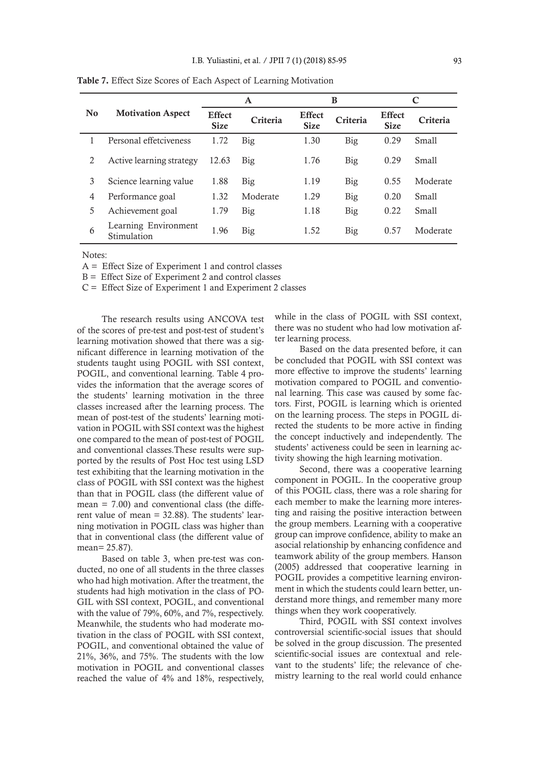|                |                                     | A                            |            |                              | в        | C                            |          |
|----------------|-------------------------------------|------------------------------|------------|------------------------------|----------|------------------------------|----------|
| N <sub>0</sub> | <b>Motivation Aspect</b>            | <b>Effect</b><br><b>Size</b> | Criteria   | <b>Effect</b><br><b>Size</b> | Criteria | <b>Effect</b><br><b>Size</b> | Criteria |
|                | Personal effetciveness              | 1.72                         | Big        | 1.30                         | Big      | 0.29                         | Small    |
| 2              | Active learning strategy            | 12.63                        | Big        | 1.76                         | Big      | 0.29                         | Small    |
| 3              | Science learning value              | 1.88                         | <b>Big</b> | 1.19                         | Big      | 0.55                         | Moderate |
| 4              | Performance goal                    | 1.32                         | Moderate   | 1.29                         | Big      | 0.20                         | Small    |
| 5              | Achievement goal                    | 1.79                         | Big        | 1.18                         | Big      | 0.22                         | Small    |
| 6              | Learning Environment<br>Stimulation | 1.96                         | Big        | 1.52                         | Big      | 0.57                         | Moderate |

Table 7. Effect Size Scores of Each Aspect of Learning Motivation

Notes:

A = Effect Size of Experiment 1 and control classes

 $B =$  Effect Size of Experiment 2 and control classes

C = Effect Size of Experiment 1 and Experiment 2 classes

The research results using ANCOVA test of the scores of pre-test and post-test of student's learning motivation showed that there was a significant difference in learning motivation of the students taught using POGIL with SSI context, POGIL, and conventional learning. Table 4 provides the information that the average scores of the students' learning motivation in the three classes increased after the learning process. The mean of post-test of the students' learning motivation in POGIL with SSI context was the highest one compared to the mean of post-test of POGIL and conventional classes.These results were supported by the results of Post Hoc test using LSD test exhibiting that the learning motivation in the class of POGIL with SSI context was the highest than that in POGIL class (the different value of mean  $= 7.00$ ) and conventional class (the different value of mean = 32.88). The students' learning motivation in POGIL class was higher than that in conventional class (the different value of mean= 25.87).

Based on table 3, when pre-test was conducted, no one of all students in the three classes who had high motivation. After the treatment, the students had high motivation in the class of PO-GIL with SSI context, POGIL, and conventional with the value of 79%, 60%, and 7%, respectively. Meanwhile, the students who had moderate motivation in the class of POGIL with SSI context, POGIL, and conventional obtained the value of 21%, 36%, and 75%. The students with the low motivation in POGIL and conventional classes reached the value of 4% and 18%, respectively, while in the class of POGIL with SSI context, there was no student who had low motivation after learning process.

Based on the data presented before, it can be concluded that POGIL with SSI context was more effective to improve the students' learning motivation compared to POGIL and conventional learning. This case was caused by some factors. First, POGIL is learning which is oriented on the learning process. The steps in POGIL directed the students to be more active in finding the concept inductively and independently. The students' activeness could be seen in learning activity showing the high learning motivation.

Second, there was a cooperative learning component in POGIL. In the cooperative group of this POGIL class, there was a role sharing for each member to make the learning more interesting and raising the positive interaction between the group members. Learning with a cooperative group can improve confidence, ability to make an asocial relationship by enhancing confidence and teamwork ability of the group members. Hanson (2005) addressed that cooperative learning in POGIL provides a competitive learning environment in which the students could learn better, understand more things, and remember many more things when they work cooperatively.

Third, POGIL with SSI context involves controversial scientific-social issues that should be solved in the group discussion. The presented scientific-social issues are contextual and relevant to the students' life; the relevance of chemistry learning to the real world could enhance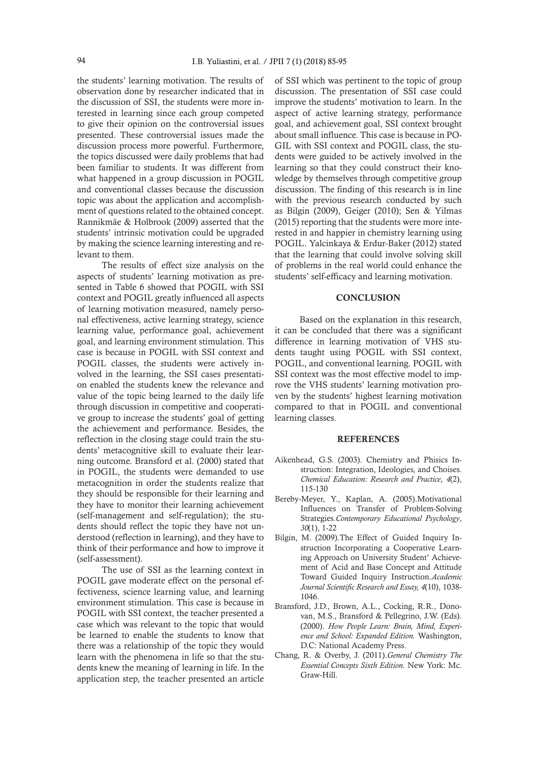the students' learning motivation. The results of observation done by researcher indicated that in the discussion of SSI, the students were more interested in learning since each group competed to give their opinion on the controversial issues presented. These controversial issues made the discussion process more powerful. Furthermore, the topics discussed were daily problems that had been familiar to students. It was different from what happened in a group discussion in POGIL and conventional classes because the discussion topic was about the application and accomplishment of questions related to the obtained concept. Rannikmäe & Holbrook (2009) asserted that the students' intrinsic motivation could be upgraded by making the science learning interesting and relevant to them.

The results of effect size analysis on the aspects of students' learning motivation as presented in Table 6 showed that POGIL with SSI context and POGIL greatly influenced all aspects of learning motivation measured, namely personal effectiveness, active learning strategy, science learning value, performance goal, achievement goal, and learning environment stimulation. This case is because in POGIL with SSI context and POGIL classes, the students were actively involved in the learning, the SSI cases presentation enabled the students knew the relevance and value of the topic being learned to the daily life through discussion in competitive and cooperative group to increase the students' goal of getting the achievement and performance. Besides, the reflection in the closing stage could train the students' metacognitive skill to evaluate their learning outcome. Bransford et al. (2000) stated that in POGIL, the students were demanded to use metacognition in order the students realize that they should be responsible for their learning and they have to monitor their learning achievement (self-management and self-regulation); the students should reflect the topic they have not understood (reflection in learning), and they have to think of their performance and how to improve it (self-assessment).

The use of SSI as the learning context in POGIL gave moderate effect on the personal effectiveness, science learning value, and learning environment stimulation. This case is because in POGIL with SSI context, the teacher presented a case which was relevant to the topic that would be learned to enable the students to know that there was a relationship of the topic they would learn with the phenomena in life so that the students knew the meaning of learning in life. In the application step, the teacher presented an article

of SSI which was pertinent to the topic of group discussion. The presentation of SSI case could improve the students' motivation to learn. In the aspect of active learning strategy, performance goal, and achievement goal, SSI context brought about small influence. This case is because in PO-GIL with SSI context and POGIL class, the students were guided to be actively involved in the learning so that they could construct their knowledge by themselves through competitive group discussion. The finding of this research is in line with the previous research conducted by such as Bilgin (2009), Geiger (2010); Sen & Yilmas (2015) reporting that the students were more interested in and happier in chemistry learning using POGIL. Yalcinkaya & Erdur-Baker (2012) stated that the learning that could involve solving skill of problems in the real world could enhance the students' self-efficacy and learning motivation.

### **CONCLUSION**

Based on the explanation in this research, it can be concluded that there was a significant difference in learning motivation of VHS students taught using POGIL with SSI context, POGIL, and conventional learning. POGIL with SSI context was the most effective model to improve the VHS students' learning motivation proven by the students' highest learning motivation compared to that in POGIL and conventional learning classes.

#### REFERENCES

- Aikenhead, G.S. (2003). Chemistry and Phisics Instruction: Integration, Ideologies, and Choises. *Chemical Education: Research and Practice*, *4*(2), 115-130
- Bereby-Meyer, Y., Kaplan, A. (2005).Motivational Influences on Transfer of Problem-Solving Strategies.*Contemporary Educational Psychology*, *30*(1), 1-22
- Bilgin, M. (2009).The Effect of Guided Inquiry Instruction Incorporating a Cooperative Learning Approach on University Student' Achievement of Acid and Base Concept and Attitude Toward Guided Inquiry Instruction.*Academic Journal Scientific Research and Essay, 4*(10), 1038- 1046.
- Bransford, J.D., Brown, A.L., Cocking, R.R., Donovan, M.S., Bransford & Pellegrino, J.W. (Eds). (2000). *How People Learn: Brain, Mind, Experience and School: Expanded Edition.* Washington, D.C: National Academy Press.
- Chang, R. & Overby, J. (2011).*General Chemistry The Essential Concepts Sixth Edition.* New York: Mc. Graw-Hill.